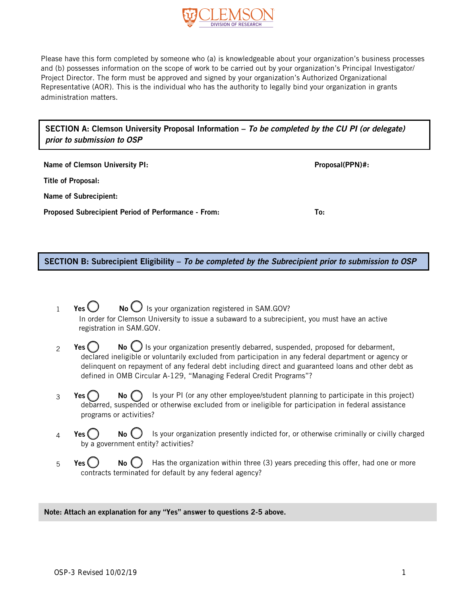

Please have this form completed by someone who (a) is knowledgeable about your organization's business processes and (b) possesses information on the scope of work to be carried out by your organization's Principal Investigator/ Project Director. The form must be approved and signed by your organization's Authorized Organizational Representative (AOR). This is the individual who has the authority to legally bind your organization in grants administration matters.

SECTION A: Clemson University Proposal Information – *To be completed by the CU PI (or delegate) prior to submission to OSP*

Name of Clemson University PI:  $\blacksquare$ Title of Proposal: Name of Subrecipient: Proposed Subrecipient Period of Performance - From: To:

SECTION B: Subrecipient Eligibility – *To be completed by the Subrecipient prior to submission to OSP*

- $Yes \bigcup$  No  $\bigcup$  Is your organization registered in SAM.GOV? In order for Clemson University to issue a subaward to a subrecipient, you must have an active registration in SAM.GOV. 1
- **Yes**  $\binom{1}{2}$  **No**  $\binom{1}{2}$  is your organization presently debarred, suspended, proposed for debarment, declared ineligible or voluntarily excluded from participation in any federal department or agency or delinquent on repayment of any federal debt including direct and guaranteed loans and other debt as defined in OMB Circular A-129, "Managing Federal Credit Programs"? 2
- **Yes**  $\bigcap$  **No**  $\bigcap$  is your PI (or any other employee/student planning to participate in this project) debarred, suspended or otherwise excluded from or ineligible for participation in federal assistance programs or activities? 3
- **Yes**  $\bigcirc$  **No**  $\bigcirc$  Is your organization presently indicted for, or otherwise criminally or civilly charged by a government entity? activities? 4
- **Yes**  $\bigcirc$  **No**  $\bigcirc$  Has the organization within three (3) years preceding this offer, had one or more contracts terminated for default by any federal agency? 5

#### Note: Attach an explanation for any "Yes" answer to questions 2-5 above.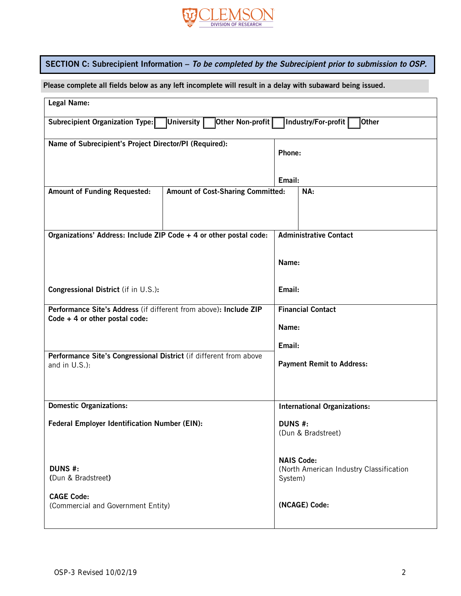

# SECTION C: Subrecipient Information – *To be completed by the Subrecipient prior to submission to OSP.*

Please complete all fields below as any left incomplete will result in a delay with subaward being issued.

| <b>Legal Name:</b>                                                                                                 |  |                                         |                                  |  |  |
|--------------------------------------------------------------------------------------------------------------------|--|-----------------------------------------|----------------------------------|--|--|
| ∣University <u>∏</u><br>Other Non-profit<br>Industry/For-profit<br><b>Other</b><br>Subrecipient Organization Type: |  |                                         |                                  |  |  |
| Name of Subrecipient's Project Director/PI (Required):                                                             |  |                                         |                                  |  |  |
|                                                                                                                    |  |                                         | Phone:                           |  |  |
|                                                                                                                    |  |                                         |                                  |  |  |
|                                                                                                                    |  |                                         |                                  |  |  |
|                                                                                                                    |  | Email:                                  |                                  |  |  |
| <b>Amount of Funding Requested:</b><br><b>Amount of Cost-Sharing Committed:</b>                                    |  | NA:                                     |                                  |  |  |
|                                                                                                                    |  |                                         |                                  |  |  |
|                                                                                                                    |  |                                         |                                  |  |  |
|                                                                                                                    |  |                                         |                                  |  |  |
| Organizations' Address: Include ZIP Code + 4 or other postal code:                                                 |  |                                         | <b>Administrative Contact</b>    |  |  |
|                                                                                                                    |  |                                         |                                  |  |  |
|                                                                                                                    |  |                                         |                                  |  |  |
|                                                                                                                    |  | Name:                                   |                                  |  |  |
|                                                                                                                    |  |                                         |                                  |  |  |
|                                                                                                                    |  |                                         |                                  |  |  |
| Congressional District (if in U.S.):                                                                               |  | Email:                                  |                                  |  |  |
|                                                                                                                    |  |                                         |                                  |  |  |
| Performance Site's Address (if different from above): Include ZIP                                                  |  | <b>Financial Contact</b>                |                                  |  |  |
| Code $+4$ or other postal code:                                                                                    |  | Name:                                   |                                  |  |  |
|                                                                                                                    |  |                                         |                                  |  |  |
|                                                                                                                    |  |                                         | Email:                           |  |  |
| Performance Site's Congressional District (if different from above                                                 |  |                                         |                                  |  |  |
| and in U.S.):                                                                                                      |  |                                         | <b>Payment Remit to Address:</b> |  |  |
|                                                                                                                    |  |                                         |                                  |  |  |
|                                                                                                                    |  |                                         |                                  |  |  |
|                                                                                                                    |  |                                         |                                  |  |  |
| <b>Domestic Organizations:</b>                                                                                     |  | <b>International Organizations:</b>     |                                  |  |  |
|                                                                                                                    |  |                                         |                                  |  |  |
| <b>Federal Employer Identification Number (EIN):</b>                                                               |  |                                         | DUNS #:<br>(Dun & Bradstreet)    |  |  |
|                                                                                                                    |  |                                         |                                  |  |  |
|                                                                                                                    |  |                                         |                                  |  |  |
|                                                                                                                    |  | <b>NAIS Code:</b>                       |                                  |  |  |
| <b>DUNS #:</b>                                                                                                     |  | (North American Industry Classification |                                  |  |  |
| (Dun & Bradstreet)                                                                                                 |  |                                         | System)                          |  |  |
|                                                                                                                    |  |                                         |                                  |  |  |
| <b>CAGE Code:</b>                                                                                                  |  |                                         | (NCAGE) Code:                    |  |  |
| (Commercial and Government Entity)                                                                                 |  |                                         |                                  |  |  |
|                                                                                                                    |  |                                         |                                  |  |  |
|                                                                                                                    |  |                                         |                                  |  |  |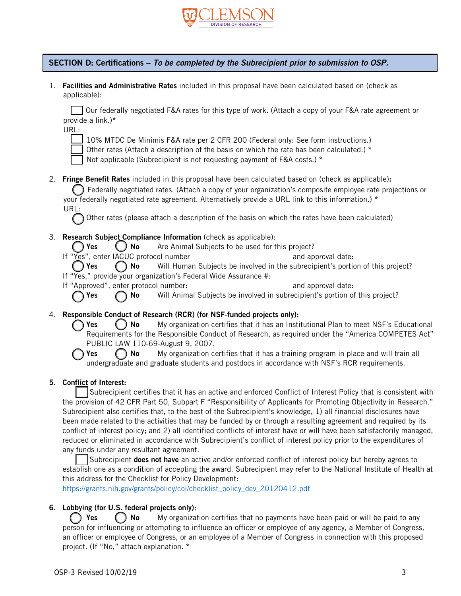

## SECTION D: Certifications – *To be completed by the Subrecipient prior to submission to OSP.*

1. Facilities and Administrative Rates included in this proposal have been calculated based on (check as applicable):

Our federally negotiated F&A rates for this type of work. (Attach a copy of your F&A rate agreement or provide a link.)\*

| ۰.<br>$\sim$ |  |  |
|--------------|--|--|
|              |  |  |

10% MTDC De Minimis F&A rate per 2 CFR 200 (Federal only: See form instructions.)



Not applicable (Subrecipient is not requesting payment of F&A costs.) \*

2. Fringe Benefit Rates included in this proposal have been calculated based on (check as applicable):

Federally negotiated rates. (Attach a copy of your organization's composite employee rate projections or your federally negotiated rate agreement. Alternatively provide a URL link to this information.) \* URL:

Other rates (please attach a description of the basis on which the rates have been calculated)

3. Research Subject Compliance Information (check as applicable):

 $\bigcirc$  Yes  $\bigcirc$  No Are Animal Subjects to be used for this project?

If "Yes", enter IACUC protocol number and approval date:

 $\bigcap$  Yes  $\bigcap$  No Will Human Subjects be involved in the subrecipient's portion of this project? If "Yes," provide your organization's Federal Wide Assurance #:

If "Approved", enter protocol number: and approval date:

 $\bigcap$  Yes  $\bigcap$  No Will Animal Subjects be involved in subrecipient's portion of this project?

- 4. Responsible Conduct of Research (RCR) (for NSF-funded projects only):
	- Yes () No My organization certifies that it has an Institutional Plan to meet NSF's Educational Requirements for the Responsible Conduct of Research, as required under the "America COMPETES Act" PUBLIC LAW 110-69-August 9, 2007.

**Yes**  $\left(\begin{array}{c} \bullet \end{array}\right)$  No My organization certifies that it has a training program in place and will train all undergraduate and graduate students and postdocs in accordance with NSF's RCR requirements.

### 5. Conflict of Interest:

Subrecipient certifies that it has an active and enforced Conflict of Interest Policy that is consistent with the provision of 42 CFR Part 50, Subpart F "Responsibility of Applicants for Promoting Objectivity in Research." Subrecipient also certifies that, to the best of the Subrecipient's knowledge, 1) all financial disclosures have been made related to the activities that may be funded by or through a resulting agreement and required by its conflict of interest policy; and 2) all identified conflicts of interest have or will have been satisfactorily managed, reduced or eliminated in accordance with Subrecipient's conflict of interest policy prior to the expenditures of any funds under any resultant agreement.

Subrecipient does not have an active and/or enforced conflict of interest policy but hereby agrees to establish one as a condition of accepting the award. Subrecipient may refer to the National Institute of Health at this address for the Checklist for Policy Development:

[https://grants.nih.gov/grants/policy/coi/checklist\\_policy\\_dev\\_20120412.pdf](https://grants.nih.gov/grants/policy/coi/checklist_policy_dev_20120412.pdf)

### 6. Lobbying (for U.S. federal projects only):

 $\bigcap$  Yes  $\bigcap$  No My organization certifies that no payments have been paid or will be paid to any person for influencing or attempting to influence an officer or employee of any agency, a Member of Congress, an officer or employee of Congress, or an employee of a Member of Congress in connection with this proposed project. (If "No," attach explanation. \*